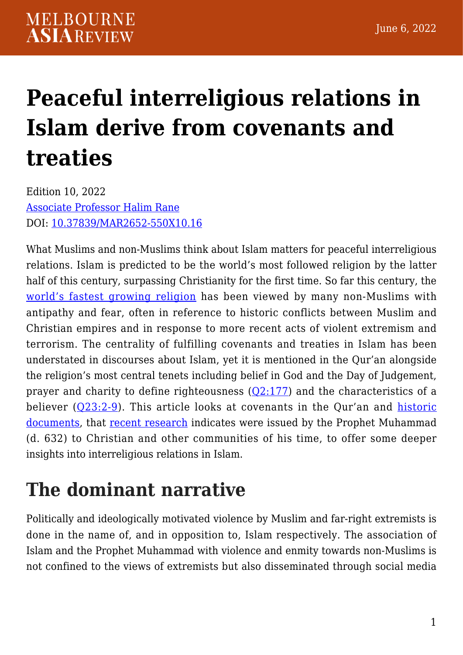# **[Peaceful interreligious relations in](https://melbourneasiareview.edu.au/peaceful-interreligious-relations-in-islam-derive-from-covenants-and-treaties/) [Islam derive from covenants and](https://melbourneasiareview.edu.au/peaceful-interreligious-relations-in-islam-derive-from-covenants-and-treaties/) [treaties](https://melbourneasiareview.edu.au/peaceful-interreligious-relations-in-islam-derive-from-covenants-and-treaties/)**

Edition 10, 2022 [Associate Professor Halim Rane](https://experts.griffith.edu.au/7184-halim-rane) DOI: 10.37839/MAR2652-550X10.16

What Muslims and non-Muslims think about Islam matters for peaceful interreligious relations. Islam is predicted to be the world's most followed religion by the latter half of this century, surpassing Christianity for the first time. So far this century, the [world's fastest growing religion](https://www.pewresearch.org/fact-tank/2017/04/06/why-muslims-are-the-worlds-fastest-growing-religious-group/) has been viewed by many non-Muslims with antipathy and fear, often in reference to historic conflicts between Muslim and Christian empires and in response to more recent acts of violent extremism and terrorism. The centrality of fulfilling covenants and treaties in Islam has been understated in discourses about Islam, yet it is mentioned in the Qur'an alongside the religion's most central tenets including belief in God and the Day of Judgement, prayer and charity to define righteousness  $(Q2:177)$  $(Q2:177)$  and the characteristics of a believer  $(Q23:2-9)$  $(Q23:2-9)$ . This article looks at covenants in the Qur'an and [historic](https://www.hbku.edu.qa/en/news/build-social-harmony) [documents,](https://www.hbku.edu.qa/en/news/build-social-harmony) that [recent research](https://academic.oup.com/jis/article-abstract/33/2/153/6522821?redirectedFrom=fulltext) indicates were issued by the Prophet Muhammad (d. 632) to Christian and other communities of his time, to offer some deeper insights into interreligious relations in Islam.

## **The dominant narrative**

Politically and ideologically motivated violence by Muslim and far-right extremists is done in the name of, and in opposition to, Islam respectively. The association of Islam and the Prophet Muhammad with violence and enmity towards non-Muslims is not confined to the views of extremists but also disseminated through social media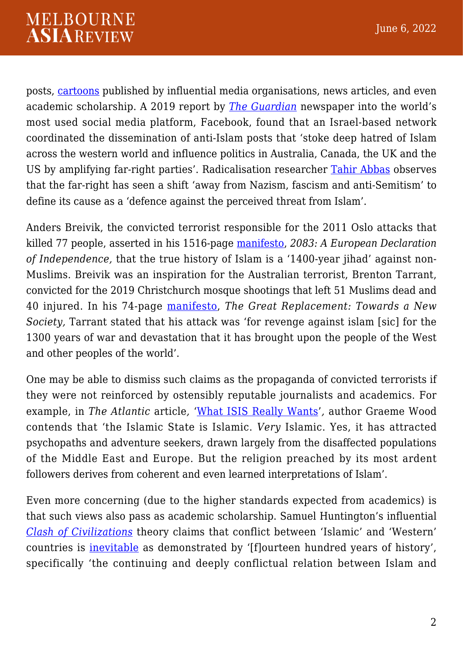posts, [cartoons](https://www.washingtonpost.com/archive/opinions/2006/02/19/why-i-published-those-cartoons/f9a67368-4641-4fa7-b71f-843ea44814ef/) published by influential media organisations, news articles, and even academic scholarship. A 2019 report by *[The Guardian](https://www.theguardian.com/australia-news/2019/dec/06/inside-the-hate-factory-how-facebook-fuels-far-right-profit)* newspaper into the world's most used social media platform, Facebook, found that an Israel-based network coordinated the dissemination of anti-Islam posts that 'stoke deep hatred of Islam across the western world and influence politics in Australia, Canada, the UK and the US by amplifying far-right parties'. Radicalisation researcher [Tahir Abbas](https://www.bloomsbury.com/au/countering-violent-extremism-9781838607234/) observes that the far-right has seen a shift 'away from Nazism, fascism and anti-Semitism' to define its cause as a 'defence against the perceived threat from Islam'.

Anders Breivik, the convicted terrorist responsible for the 2011 Oslo attacks that killed 77 people, asserted in his 1516-page [manifesto](https://publicintelligence.net/anders-behring-breiviks-complete-manifesto-2083-a-european-declaration-of-independence/), *2083: A European Declaration of Independence,* that the true history of Islam is a '1400-year jihad' against non-Muslims. Breivik was an inspiration for the Australian terrorist, Brenton Tarrant, convicted for the 2019 Christchurch mosque shootings that left 51 Muslims dead and 40 injured. In his 74-page [manifesto](https://www.vox.com/identities/2019/3/15/18267163/new-zealand-shooting-christchurch-white-nationalism-racism-language), *The Great Replacement: Towards a New Society,* Tarrant stated that his attack was 'for revenge against islam [sic] for the 1300 years of war and devastation that it has brought upon the people of the West and other peoples of the world'.

One may be able to dismiss such claims as the propaganda of convicted terrorists if they were not reinforced by ostensibly reputable journalists and academics. For example, in *The Atlantic* article*,* ['What ISIS Really Wants](https://www.theatlantic.com/magazine/archive/2015/03/what-isis-really-wants/384980/)'*,* author Graeme Wood contends that 'the Islamic State is Islamic. *Very* Islamic. Yes, it has attracted psychopaths and adventure seekers, drawn largely from the disaffected populations of the Middle East and Europe. But the religion preached by its most ardent followers derives from coherent and even learned interpretations of Islam'.

Even more concerning (due to the higher standards expected from academics) is that such views also pass as academic scholarship. Samuel Huntington's influential *[Clash of Civilizations](https://www.simonandschuster.com/books/The-Clash-of-Civilizations-and-the-Remaking-of-World-Order/Samuel-P-Huntington/9781451628975)* theory claims that conflict between 'Islamic' and 'Western' countries is [inevitable](https://www.tandfonline.com/doi/full/10.1080/15570274.2019.1570756) as demonstrated by '[f]ourteen hundred years of history', specifically 'the continuing and deeply conflictual relation between Islam and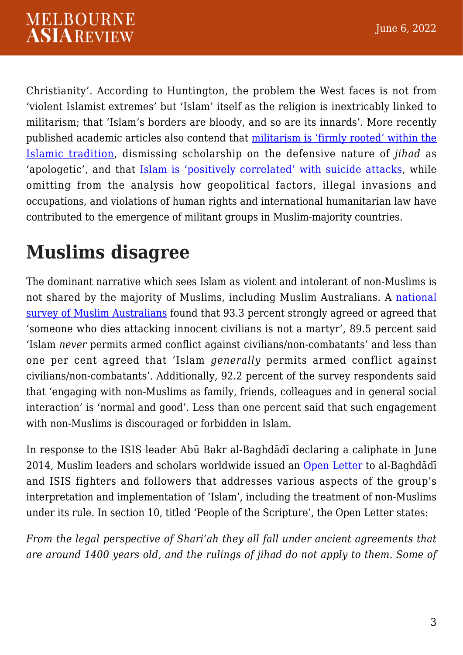Christianity'. According to Huntington, the problem the West faces is not from 'violent Islamist extremes' but 'Islam' itself as the religion is inextricably linked to militarism; that 'Islam's borders are bloody, and so are its innards'. More recently published academic articles also contend that [militarism is 'firmly rooted' within the](https://www.tandfonline.com/doi/abs/10.1080/09596411003619764) [Islamic tradition,](https://www.tandfonline.com/doi/abs/10.1080/09596411003619764) dismissing scholarship on the defensive nature of *jihad* as 'apologetic', and that [Islam is 'positively correlated' with suicide attacks](https://academic.oup.com/isagsq/article/2/1/ksab046/6521891), while omitting from the analysis how geopolitical factors, illegal invasions and occupations, and violations of human rights and international humanitarian law have contributed to the emergence of militant groups in Muslim-majority countries.

## **Muslims disagree**

The dominant narrative which sees Islam as violent and intolerant of non-Muslims is not shared by the majority of Muslims, including Muslim Australians. A [national](https://www.mdpi.com/2077-1444/11/8/419) [survey of Muslim Australians](https://www.mdpi.com/2077-1444/11/8/419) found that 93.3 percent strongly agreed or agreed that 'someone who dies attacking innocent civilians is not a martyr', 89.5 percent said 'Islam *never* permits armed conflict against civilians/non-combatants' and less than one per cent agreed that 'Islam *generally* permits armed conflict against civilians/non-combatants'. Additionally, 92.2 percent of the survey respondents said that 'engaging with non-Muslims as family, friends, colleagues and in general social interaction' is 'normal and good'. Less than one percent said that such engagement with non-Muslims is discouraged or forbidden in Islam.

In response to the ISIS leader Abū Bakr al-Baghdādī declaring a caliphate in June 2014, Muslim leaders and scholars worldwide issued an [Open Letter](http://www.lettertobaghdadi.com/) to al-Baghdādī and ISIS fighters and followers that addresses various aspects of the group's interpretation and implementation of 'Islam', including the treatment of non-Muslims under its rule. In section 10, titled 'People of the Scripture', the Open Letter states:

*From the legal perspective of Shari'ah they all fall under ancient agreements that are around 1400 years old, and the rulings of jihad do not apply to them. Some of*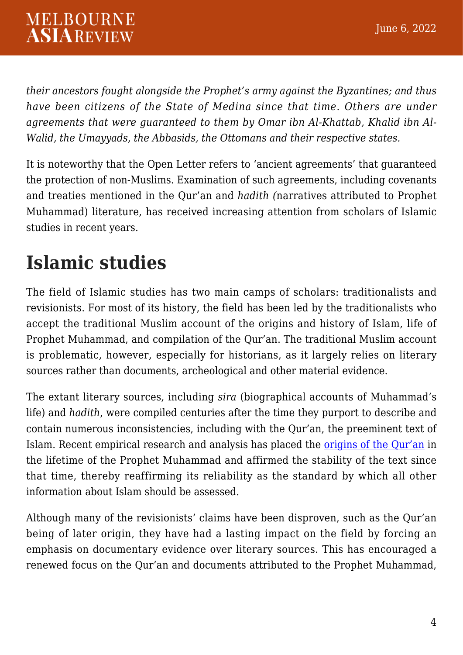*their ancestors fought alongside the Prophet's army against the Byzantines; and thus have been citizens of the State of Medina since that time. Others are under agreements that were guaranteed to them by Omar ibn Al-Khattab, Khalid ibn Al-Walid, the Umayyads, the Abbasids, the Ottomans and their respective states.*

It is noteworthy that the Open Letter refers to 'ancient agreements' that guaranteed the protection of non-Muslims. Examination of such agreements, including covenants and treaties mentioned in the Qur'an and *hadith (*narratives attributed to Prophet Muhammad) literature, has received increasing attention from scholars of Islamic studies in recent years.

## **Islamic studies**

The field of Islamic studies has two main camps of scholars: traditionalists and revisionists. For most of its history, the field has been led by the traditionalists who accept the traditional Muslim account of the origins and history of Islam, life of Prophet Muhammad, and compilation of the Qur'an. The traditional Muslim account is problematic, however, especially for historians, as it largely relies on literary sources rather than documents, archeological and other material evidence.

The extant literary sources, including *sira* (biographical accounts of Muhammad's life) and *hadith*, were compiled centuries after the time they purport to describe and contain numerous inconsistencies, including with the Qur'an, the preeminent text of Islam. Recent empirical research and analysis has placed the [origins of the Qur'an](https://ia600809.us.archive.org/3/items/110978941Sanaa1AndTheOriginsOfTheQurAn/110978941-Sanaa-1-and-the-Origins-of-the-Qur-An.pdf) in the lifetime of the Prophet Muhammad and affirmed the stability of the text since that time, thereby reaffirming its reliability as the standard by which all other information about Islam should be assessed.

Although many of the revisionists' claims have been disproven, such as the Qur'an being of later origin, they have had a lasting impact on the field by forcing an emphasis on documentary evidence over literary sources. This has encouraged a renewed focus on the Qur'an and documents attributed to the Prophet Muhammad,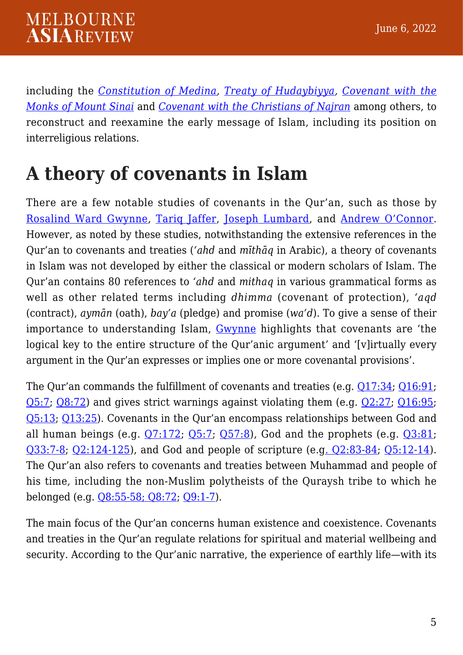including the *[Constitution of Medina,](https://www.oxfordbibliographies.com/view/document/obo-9780195390155/obo-9780195390155-0209.xml) [Treaty of Hudaybiyya,](https://www.britannica.com/event/Pact-of-Al-Hudaybiyah) [Covenant with the](https://www.lastprophet.info/covenant-of-the-prophet-muhammad-with-the-monks-of-mt-sinai) [Monks of Mount Sinai](https://www.lastprophet.info/covenant-of-the-prophet-muhammad-with-the-monks-of-mt-sinai)* and *[Covenant with the Christians of Najran](https://academic.oup.com/jis/article-abstract/27/3/273/2458963)* among others, to reconstruct and reexamine the early message of Islam, including its position on interreligious relations.

#### **A theory of covenants in Islam**

There are a few notable studies of covenants in the Qur'an, such as those by [Rosalind Ward Gwynne](https://www.routledge.com/Logic-Rhetoric-and-Legal-Reasoning-in-the-Quran-Gods-Arguments/Gwynne/p/book/9780415554190), [Tariq Jaffer](https://brill.com/view/book/edcoll/9789004337121/B9789004337121_007.xml), [Joseph Lumbard,](https://www.euppublishing.com/doi/abs/10.3366/jqs.2015.0193) and [Andrew O'Connor.](https://www.tandfonline.com/doi/abs/10.1080/09596410.2018.1546042) However, as noted by these studies, notwithstanding the extensive references in the Qur'an to covenants and treaties (*'ahd* and *mīthāq* in Arabic), a theory of covenants in Islam was not developed by either the classical or modern scholars of Islam. The Qur'an contains 80 references to *'ahd* and *mithaq* in various grammatical forms as well as other related terms including *dhimma* (covenant of protection), *'aqd* (contract), *aymān* (oath), *bay'a* (pledge) and promise (*wa'd*). To give a sense of their importance to understanding Islam, [Gwynne](https://www.routledge.com/Logic-Rhetoric-and-Legal-Reasoning-in-the-Quran-Gods-Arguments/Gwynne/p/book/9780415554190) highlights that covenants are 'the logical key to the entire structure of the Qur'anic argument' and '[v]irtually every argument in the Qur'an expresses or implies one or more covenantal provisions'.

The Qur'an commands the fulfillment of covenants and treaties (e.g. [Q17:34;](https://quran.com/17) [Q16:91](https://quran.com/16); [Q5:7;](https://quran.com/5) [Q8:72\)](https://quran.com/8) and gives strict warnings against violating them (e.g. [Q2:27;](https://quran.com/2) [Q16:95](https://quran.com/16); [Q5:13](https://quran.com/5); [Q13:25\)](https://quran.com/13). Covenants in the Qur'an encompass relationships between God and all human beings (e.g.  $Q7:172$ ;  $Q5:7$ ;  $Q57:8$ ), God and the prophets (e.g.  $Q3:81$ ; [Q33:7-8](https://quran.com/33); [Q2:124-125](https://quran.com/2)), and God and people of scripture (e.[g. Q2:83-84](https://quran.com/2); [Q5:12-14\)](https://quran.com/5). The Qur'an also refers to covenants and treaties between Muhammad and people of his time, including the non-Muslim polytheists of the Quraysh tribe to which he belonged (e.g. [Q8:55-58; Q8:72;](https://quran.com/8) [Q9:1-7\)](https://quran.com/9).

The main focus of the Qur'an concerns human existence and coexistence. Covenants and treaties in the Qur'an regulate relations for spiritual and material wellbeing and security. According to the Qur'anic narrative, the experience of earthly life—with its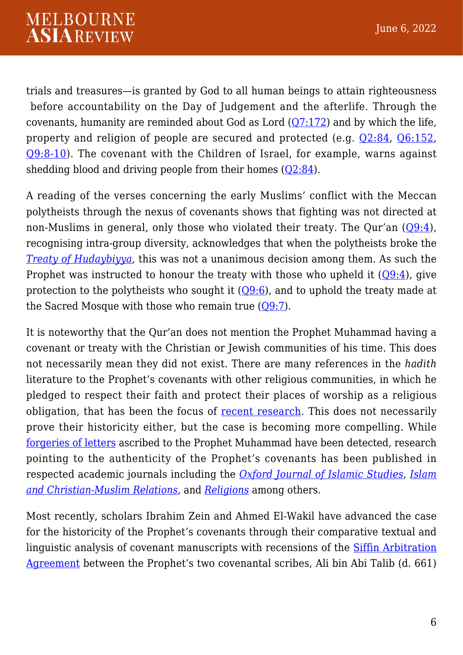trials and treasures—is granted by God to all human beings to attain righteousness before accountability on the Day of Judgement and the afterlife. Through the covenants, humanity are reminded about God as Lord  $(Q7:172)$  $(Q7:172)$  and by which the life, property and religion of people are secured and protected (e.g. [Q2:84](https://quran.com/en/al-baqarah/84), [Q6:152,](https://quran.com/6?startingVerse=152) [Q9:8-10](https://quran.com/9)). The covenant with the Children of Israel, for example, warns against shedding blood and driving people from their homes  $(02:84)$ .

A reading of the verses concerning the early Muslims' conflict with the Meccan polytheists through the nexus of covenants shows that fighting was not directed at non-Muslims in general, only those who violated their treaty. The Qur'an ([Q9:4\)](https://quran.com/9), recognising intra-group diversity, acknowledges that when the polytheists broke the *[Treaty of Hudaybiyya](https://www.al-islam.org/restatement-history-islam-and-muslims-sayyid-ali-asghar-razwy/treaty-hudaybiyya)*, this was not a unanimous decision among them. As such the Prophet was instructed to honour the treaty with those who upheld it  $(Q9:4)$  $(Q9:4)$ , give protection to the polytheists who sought it  $(Q9:6)$  $(Q9:6)$ , and to uphold the treaty made at the Sacred Mosque with those who remain true  $(Q9:7)$ .

It is noteworthy that the Qur'an does not mention the Prophet Muhammad having a covenant or treaty with the Christian or Jewish communities of his time. This does not necessarily mean they did not exist. There are many references in the *hadith* literature to the Prophet's covenants with other religious communities, in which he pledged to respect their faith and protect their places of worship as a religious obligation, that has been the focus of [recent research](https://www.mdpi.com/2077-1444/10/9/516/htm). This does not necessarily prove their historicity either, but the case is becoming more compelling. While [forgeries of letters](https://newlinesmag.com/essays/the-hoax-in-the-isis-flag/) ascribed to the Prophet Muhammad have been detected, research pointing to the authenticity of the Prophet's covenants has been published in respected academic journals including the *[Oxford Journal of Islamic Studies](https://academic.oup.com/jis/article-abstract/31/3/295/5880748?login=false)*, *[Islam](https://www.tandfonline.com/doi/full/10.1080/09596410.2018.1557934) [and Christian-Muslim Relations](https://www.tandfonline.com/doi/full/10.1080/09596410.2018.1557934)*, and *[Religions](https://www.mdpi.com/journal/religions/special_issues/Prophet_Muhammad)* among others.

Most recently, scholars Ibrahim Zein and Ahmed El-Wakil have advanced the case for the historicity of the Prophet's covenants through their comparative textual and linguistic analysis of covenant manuscripts with recensions of the [Siffin Arbitration](https://academic.oup.com/jis/article-abstract/33/2/153/6522821?redirectedFrom=fulltext) [Agreement](https://academic.oup.com/jis/article-abstract/33/2/153/6522821?redirectedFrom=fulltext) between the Prophet's two covenantal scribes, Ali bin Abi Talib (d. 661)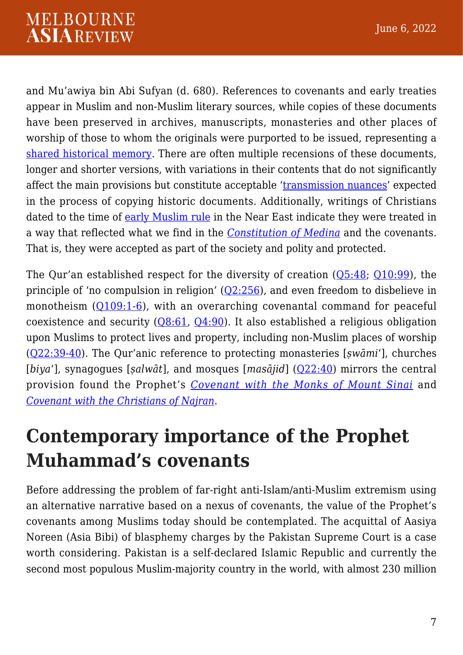and Mu'awiya bin Abi Sufyan (d. 680). References to covenants and early treaties appear in Muslim and non-Muslim literary sources, while copies of these documents have been preserved in archives, manuscripts, monasteries and other places of worship of those to whom the originals were purported to be issued, representing a [shared historical memory](https://journals.iium.edu.my/shajarah/index.php/shaj/article/view/1140). There are often multiple recensions of these documents, longer and shorter versions, with variations in their contents that do not significantly affect the main provisions but constitute acceptable '[transmission nuances'](https://academic.oup.com/jis/article-abstract/33/2/153/6522821?redirectedFrom=fulltext) expected in the process of copying historic documents. Additionally, writings of Christians dated to the time of [early Muslim rule](https://www.ucpress.edu/book/9780520284944/when-christians-first-met-muslims) in the Near East indicate they were treated in a way that reflected what we find in the *[Constitution of Medina](https://www.jstor.org/stable/40389306)* and the covenants. That is, they were accepted as part of the society and polity and protected.

The Qur'an established respect for the diversity of creation  $(Q5:48; Q10:99)$  $(Q5:48; Q10:99)$  $(Q5:48; Q10:99)$  $(Q5:48; Q10:99)$  $(Q5:48; Q10:99)$ , the principle of 'no compulsion in religion'  $(Q2:256)$  $(Q2:256)$ , and even freedom to disbelieve in monotheism ([Q109:1-6](https://quran.com/109)), with an overarching covenantal command for peaceful coexistence and security  $(Q8:61, Q4:90)$  $(Q8:61, Q4:90)$  $(Q8:61, Q4:90)$  $(Q8:61, Q4:90)$  $(Q8:61, Q4:90)$ . It also established a religious obligation upon Muslims to protect lives and property, including non-Muslim places of worship ([Q22:39-40\)](https://quran.com/en/al-hajj/39-40). The Qur'anic reference to protecting monasteries [*ṣwāmi*'], churches [*biya*'], synagogues [*ṣalwāt*], and mosques [*masājid*] ([Q22:40](https://quran.com/22)) mirrors the central provision found the Prophet's *[Covenant with the Monks of Mount Sinai](https://www.lastprophet.info/covenant-of-the-prophet-muhammad-with-the-monks-of-mt-sinai)* and *[Covenant with the Christians of Najran](https://academic.oup.com/jis/article-abstract/27/3/273/2458963)*.

#### **Contemporary importance of the Prophet Muhammad's covenants**

Before addressing the problem of far-right anti-Islam/anti-Muslim extremism using an alternative narrative based on a nexus of covenants, the value of the Prophet's covenants among Muslims today should be contemplated. The acquittal of Aasiya Noreen (Asia Bibi) of blasphemy charges by the Pakistan Supreme Court is a case worth considering. Pakistan is a self-declared Islamic Republic and currently the second most populous Muslim-majority country in the world, with almost 230 million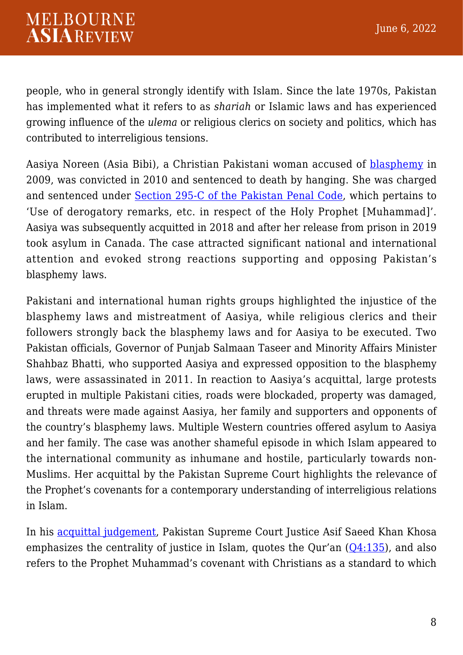people, who in general strongly identify with Islam. Since the late 1970s, Pakistan has implemented what it refers to as *shariah* or Islamic laws and has experienced growing influence of the *ulema* or religious clerics on society and politics, which has contributed to interreligious tensions.

Aasiya Noreen (Asia Bibi), a Christian Pakistani woman accused of **[blasphemy](https://theconversation.com/understanding-the-history-and-politics-behind-pakistans-blasphemy-laws-173570)** in 2009, was convicted in 2010 and sentenced to death by hanging. She was charged and sentenced under [Section 295-C of the Pakistan Penal Code](http://www.pakistani.org/pakistan/legislation/1860/actXLVof1860.html), which pertains to 'Use of derogatory remarks, etc. in respect of the Holy Prophet [Muhammad]'. Aasiya was subsequently acquitted in 2018 and after her release from prison in 2019 took asylum in Canada. The case attracted significant national and international attention and evoked strong reactions supporting and opposing Pakistan's blasphemy laws.

Pakistani and international human rights groups highlighted the injustice of the blasphemy laws and mistreatment of Aasiya, while religious clerics and their followers strongly back the blasphemy laws and for Aasiya to be executed. Two Pakistan officials, Governor of Punjab Salmaan Taseer and Minority Affairs Minister Shahbaz Bhatti, who supported Aasiya and expressed opposition to the blasphemy laws, were assassinated in 2011. In reaction to Aasiya's acquittal, large protests erupted in multiple Pakistani cities, roads were blockaded, property was damaged, and threats were made against Aasiya, her family and supporters and opponents of the country's blasphemy laws. Multiple Western countries offered asylum to Aasiya and her family. The case was another shameful episode in which Islam appeared to the international community as inhumane and hostile, particularly towards non-Muslims. Her acquittal by the Pakistan Supreme Court highlights the relevance of the Prophet's covenants for a contemporary understanding of interreligious relations in Islam.

In his [acquittal judgement,](https://www.supremecourt.gov.pk/downloads_judgements/Crl.A._39_L_2015.pdf) Pakistan Supreme Court Justice Asif Saeed Khan Khosa emphasizes the centrality of justice in Islam, quotes the Qur'an  $(Q4:135)$  $(Q4:135)$  $(Q4:135)$ , and also refers to the Prophet Muhammad's covenant with Christians as a standard to which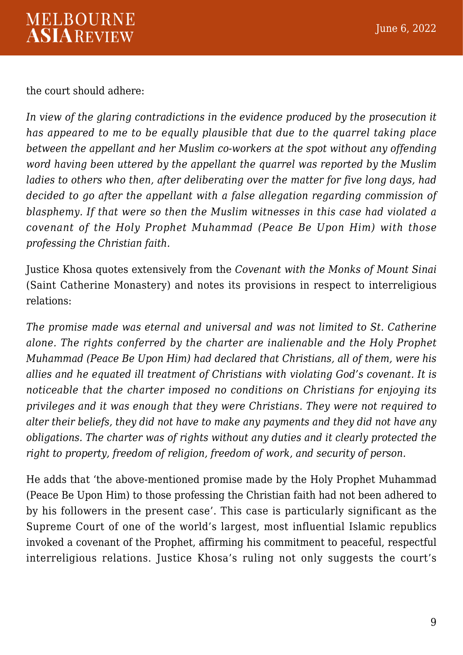the court should adhere:

*In view of the glaring contradictions in the evidence produced by the prosecution it has appeared to me to be equally plausible that due to the quarrel taking place between the appellant and her Muslim co-workers at the spot without any offending word having been uttered by the appellant the quarrel was reported by the Muslim ladies to others who then, after deliberating over the matter for five long days, had decided to go after the appellant with a false allegation regarding commission of blasphemy. If that were so then the Muslim witnesses in this case had violated a covenant of the Holy Prophet Muhammad (Peace Be Upon Him) with those professing the Christian faith.*

Justice Khosa quotes extensively from the *Covenant with the Monks of Mount Sinai* (Saint Catherine Monastery) and notes its provisions in respect to interreligious relations:

*The promise made was eternal and universal and was not limited to St. Catherine alone. The rights conferred by the charter are inalienable and the Holy Prophet Muhammad (Peace Be Upon Him) had declared that Christians, all of them, were his allies and he equated ill treatment of Christians with violating God's covenant. It is noticeable that the charter imposed no conditions on Christians for enjoying its privileges and it was enough that they were Christians. They were not required to alter their beliefs, they did not have to make any payments and they did not have any obligations. The charter was of rights without any duties and it clearly protected the right to property, freedom of religion, freedom of work, and security of person.*

He adds that 'the above-mentioned promise made by the Holy Prophet Muhammad (Peace Be Upon Him) to those professing the Christian faith had not been adhered to by his followers in the present case'. This case is particularly significant as the Supreme Court of one of the world's largest, most influential Islamic republics invoked a covenant of the Prophet, affirming his commitment to peaceful, respectful interreligious relations. Justice Khosa's ruling not only suggests the court's